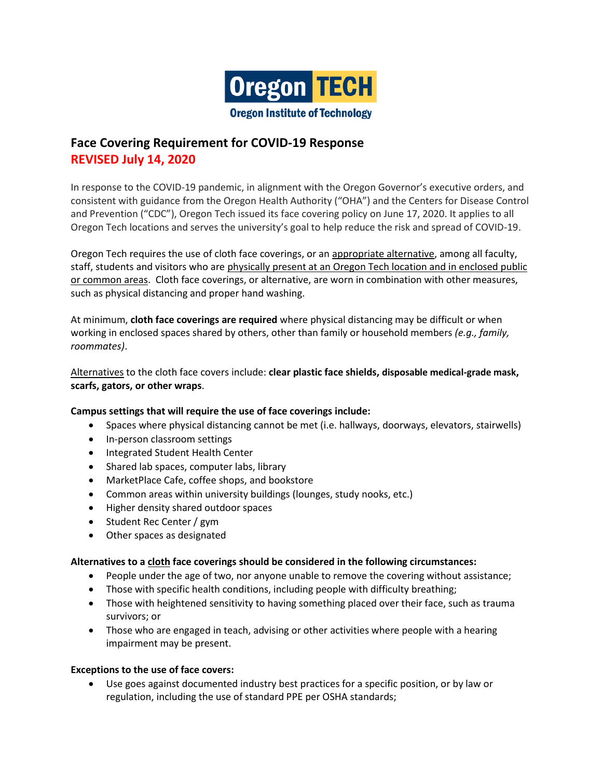

# **Face Covering Requirement for COVID-19 Response REVISED July 14, 2020**

In response to the COVID-19 pandemic, in alignment with the Oregon Governor's executive orders, and consistent with guidance from the Oregon Health Authority ("OHA") and the Centers for Disease Control and Prevention ("CDC"), Oregon Tech issued its face covering policy on June 17, 2020. It applies to all Oregon Tech locations and serves the university's goal to help reduce the risk and spread of COVID-19.

Oregon Tech requires the use of cloth face coverings, or an appropriate alternative, among all faculty, staff, students and visitors who are physically present at an Oregon Tech location and in enclosed public or common areas. Cloth face coverings, or alternative, are worn in combination with other measures, such as physical distancing and proper hand washing.

At minimum, **cloth face coverings are required** where physical distancing may be difficult or when working in enclosed spaces shared by others, other than family or household members *(e.g., family, roommates)*.

Alternatives to the cloth face covers include: **clear plastic face shields, disposable medical-grade mask, scarfs, gators, or other wraps**.

## **Campus settings that will require the use of face coverings include:**

- Spaces where physical distancing cannot be met (i.e. hallways, doorways, elevators, stairwells)
- In-person classroom settings
- Integrated Student Health Center
- Shared lab spaces, computer labs, library
- MarketPlace Cafe, coffee shops, and bookstore
- Common areas within university buildings (lounges, study nooks, etc.)
- Higher density shared outdoor spaces
- Student Rec Center / gym
- Other spaces as designated

## **Alternatives to a cloth face coverings should be considered in the following circumstances:**

- People under the age of two, nor anyone unable to remove the covering without assistance;
- Those with specific health conditions, including people with difficulty breathing;
- Those with heightened sensitivity to having something placed over their face, such as trauma survivors; or
- Those who are engaged in teach, advising or other activities where people with a hearing impairment may be present.

## **Exceptions to the use of face covers:**

 Use goes against documented industry best practices for a specific position, or by law or regulation, including the use of standard PPE per OSHA standards;